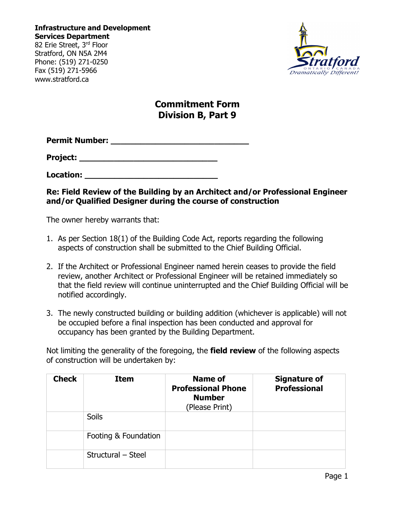**Infrastructure and Development Services Department**

82 Erie Street, 3rd Floor Stratford, ON N5A 2M4 Phone: (519) 271-0250 Fax (519) 271-5966 www.stratford.ca



# **Commitment Form Division B, Part 9**

**Permit Number: \_\_\_\_\_\_\_\_\_\_\_\_\_\_\_\_\_\_\_\_\_\_\_\_\_\_\_\_**

**Project: \_\_\_\_\_\_\_\_\_\_\_\_\_\_\_\_\_\_\_\_\_\_\_\_\_\_\_\_** 

**Location: \_\_\_\_\_\_\_\_\_\_\_\_\_\_\_\_\_\_\_\_\_\_\_\_\_\_\_**

# **Re: Field Review of the Building by an Architect and/or Professional Engineer and/or Qualified Designer during the course of construction**

The owner hereby warrants that:

- 1. As per Section 18(1) of the Building Code Act, reports regarding the following aspects of construction shall be submitted to the Chief Building Official.
- 2. If the Architect or Professional Engineer named herein ceases to provide the field review, another Architect or Professional Engineer will be retained immediately so that the field review will continue uninterrupted and the Chief Building Official will be notified accordingly.
- 3. The newly constructed building or building addition (whichever is applicable) will not be occupied before a final inspection has been conducted and approval for occupancy has been granted by the Building Department.

Not limiting the generality of the foregoing, the **field review** of the following aspects of construction will be undertaken by:

| <b>Check</b> | <b>Item</b>          | Name of<br><b>Professional Phone</b><br><b>Number</b><br>(Please Print) | <b>Signature of</b><br><b>Professional</b> |
|--------------|----------------------|-------------------------------------------------------------------------|--------------------------------------------|
|              | <b>Soils</b>         |                                                                         |                                            |
|              | Footing & Foundation |                                                                         |                                            |
|              | Structural - Steel   |                                                                         |                                            |